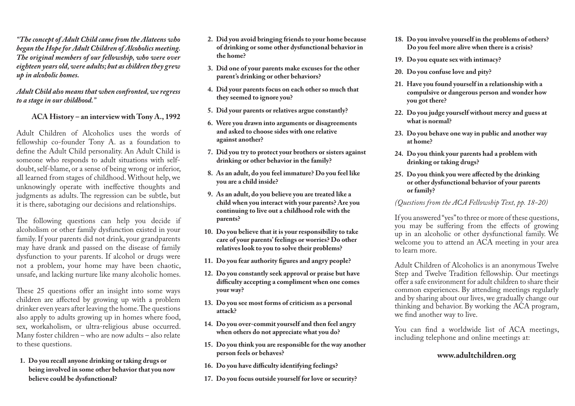*"The concept of Adult Child came from the Alateens who began the Hope for Adult Children of Alcoholics meeting. The original members of our fellowship, who were over eighteen years old, were adults; but as children they grew up in alcoholic homes.*

#### *Adult Child also means that when confronted, we regress to a stage in our childhood."*

#### **ACA History – an interview with Tony A., 1992**

Adult Children of Alcoholics uses the words of fellowship co-founder Tony A. as a foundation to define the Adult Child personality. An Adult Child is someone who responds to adult situations with selfdoubt, self-blame, or a sense of being wrong or inferior, all learned from stages of childhood. Without help, we unknowingly operate with ineffective thoughts and judgments as adults. The regression can be subtle, but it is there, sabotaging our decisions and relationships.

The following questions can help you decide if alcoholism or other family dysfunction existed in your family. If your parents did not drink, your grandparents may have drank and passed on the disease of family dysfunction to your parents. If alcohol or drugs were not a problem, your home may have been chaotic, unsafe, and lacking nurture like many alcoholic homes.

These 25 questions offer an insight into some ways children are affected by growing up with a problem drinker even years after leaving the home. The questions also apply to adults growing up in homes where food, sex, workaholism, or ultra-religious abuse occurred. Many foster children – who are now adults – also relate to these questions.

**1. Do you recall anyone drinking or taking drugs or being involved in some other behavior that you now believe could be dysfunctional?**

- **2. Did you avoid bringing friends to your home because of drinking or some other dysfunctional behavior in the home?**
- **3. Did one of your parents make excuses for the other parent's drinking or other behaviors?**
- **4. Did your parents focus on each other so much that they seemed to ignore you?**
- **5. Did your parents or relatives argue constantly?**
- **6. Were you drawn into arguments or disagreements and asked to choose sides with one relative against another?**
- **7. Did you try to protect your brothers or sisters against drinking or other behavior in the family?**
- **8. As an adult, do you feel immature? Do you feel like you are a child inside?**
- **9. As an adult, do you believe you are treated like a child when you interact with your parents? Are you continuing to live out a childhood role with the parents?**
- **10. Do you believe that it is your responsibility to take care of your parents' feelings or worries? Do other relatives look to you to solve their problems?**
- **11. Do you fear authority figures and angry people?**
- **12. Do you constantly seek approval or praise but have difficulty accepting a compliment when one comes your way?**
- **13. Do you see most forms of criticism as a personal attack?**
- **14. Do you over-commit yourself and then feel angry when others do not appreciate what you do?**
- **15. Do you think you are responsible for the way another person feels or behaves?**
- **16. Do you have difficulty identifying feelings?**
- **17. Do you focus outside yourself for love or security?**
- **18. Do you involve yourself in the problems of others? Do you feel more alive when there is a crisis?**
- **19. Do you equate sex with intimacy?**
- **20. Do you confuse love and pity?**
- **21. Have you found yourself in a relationship with a compulsive or dangerous person and wonder how you got there?**
- **22. Do you judge yourself without mercy and guess at what is normal?**
- **23. Do you behave one way in public and another way at home?**
- **24. Do you think your parents had a problem with drinking or taking drugs?**
- **25. Do you think you were affected by the drinking or other dysfunctional behavior of your parents or family?**

*(Questions from the ACA Fellowship Text, pp. 18-20)*

If you answered "yes" to three or more of these questions, you may be suffering from the effects of growing up in an alcoholic or other dysfunctional family. We welcome you to attend an ACA meeting in your area to learn more.

Adult Children of Alcoholics is an anonymous Twelve Step and Twelve Tradition fellowship. Our meetings offer a safe environment for adult children to share their common experiences. By attending meetings regularly and by sharing about our lives, we gradually change our thinking and behavior. By working the ACA program, we find another way to live.

You can find a worldwide list of ACA meetings, including telephone and online meetings at:

### **[www.adultchildren.org](http://www.meetings.adultchildren.org/find-a-meeting1)**